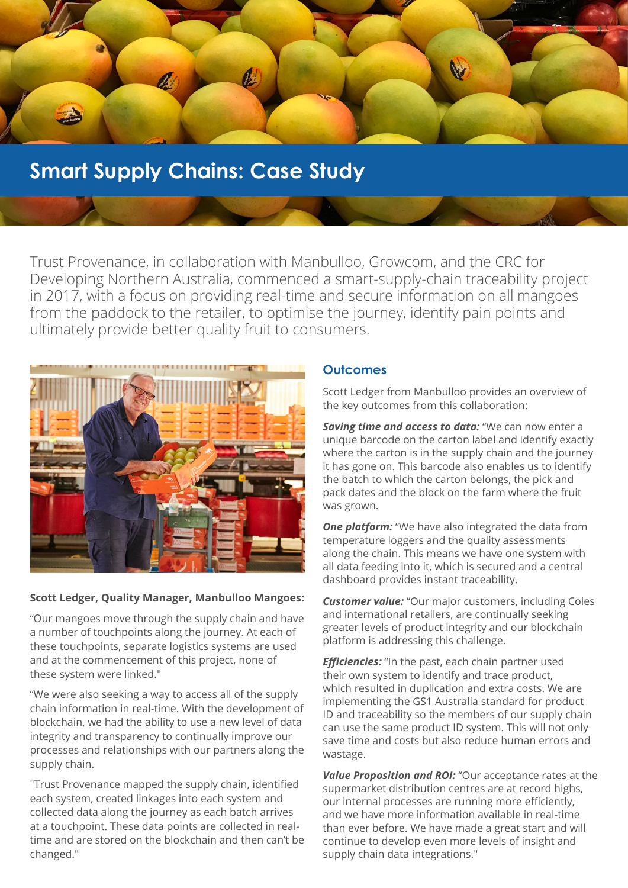

# **Smart Supply Chains: Case Study**

Trust Provenance, in collaboration with Manbulloo, Growcom, and the CRC for Developing Northern Australia, commenced a smart-supply-chain traceability project in 2017, with a focus on providing real-time and secure information on all mangoes from the paddock to the retailer, to optimise the journey, identify pain points and ultimately provide better quality fruit to consumers.



#### **Scott Ledger, Quality Manager, Manbulloo Mangoes:**

"Our mangoes move through the supply chain and have a number of touchpoints along the journey. At each of these touchpoints, separate logistics systems are used and at the commencement of this project, none of these system were linked."

"We were also seeking a way to access all of the supply chain information in real-time. With the development of blockchain, we had the ability to use a new level of data integrity and transparency to continually improve our processes and relationships with our partners along the supply chain.

"Trust Provenance mapped the supply chain, identified each system, created linkages into each system and collected data along the journey as each batch arrives at a touchpoint. These data points are collected in realtime and are stored on the blockchain and then can't be changed."

## **Outcomes**

Scott Ledger from Manbulloo provides an overview of the key outcomes from this collaboration:

**Saving time and access to data:** "We can now enter a unique barcode on the carton label and identify exactly where the carton is in the supply chain and the journey it has gone on. This barcode also enables us to identify the batch to which the carton belongs, the pick and pack dates and the block on the farm where the fruit was grown.

*One platform:* "We have also integrated the data from temperature loggers and the quality assessments along the chain. This means we have one system with all data feeding into it, which is secured and a central dashboard provides instant traceability.

*Customer value:* "Our major customers, including Coles and international retailers, are continually seeking greater levels of product integrity and our blockchain platform is addressing this challenge.

*Efficiencies:* "In the past, each chain partner used their own system to identify and trace product, which resulted in duplication and extra costs. We are implementing the GS1 Australia standard for product ID and traceability so the members of our supply chain can use the same product ID system. This will not only save time and costs but also reduce human errors and wastage.

*Value Proposition and ROI:* "Our acceptance rates at the supermarket distribution centres are at record highs, our internal processes are running more efficiently, and we have more information available in real-time than ever before. We have made a great start and will continue to develop even more levels of insight and supply chain data integrations."